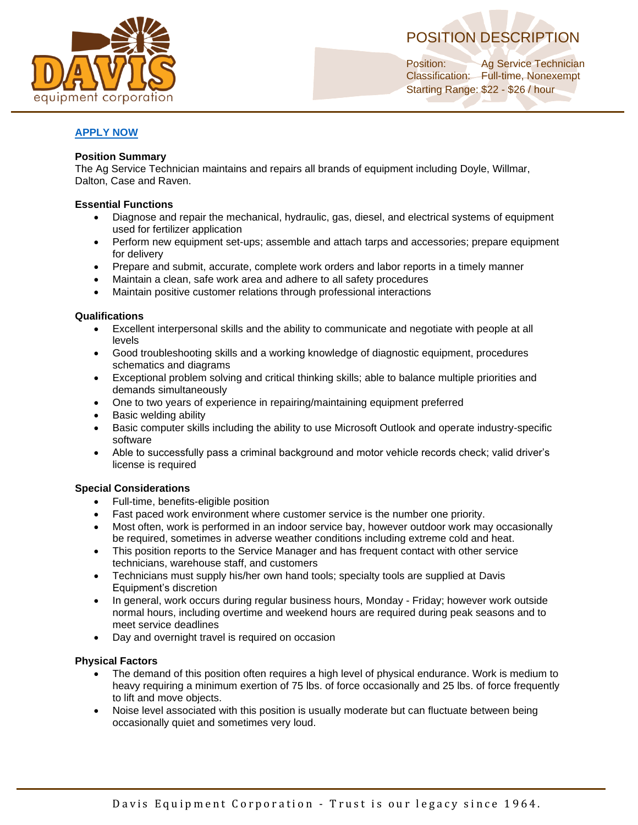



Position: Ag Service Technician Classification: Full-time, Nonexempt Starting Range: \$22 - \$26 / hour

# **[APPLY NOW](https://form.jotform.com/221524293356051)**

### **Position Summary**

The Ag Service Technician maintains and repairs all brands of equipment including Doyle, Willmar, Dalton, Case and Raven.

### **Essential Functions**

- Diagnose and repair the mechanical, hydraulic, gas, diesel, and electrical systems of equipment used for fertilizer application
- Perform new equipment set-ups; assemble and attach tarps and accessories; prepare equipment for delivery
- Prepare and submit, accurate, complete work orders and labor reports in a timely manner
- Maintain a clean, safe work area and adhere to all safety procedures
- Maintain positive customer relations through professional interactions

#### **Qualifications**

- Excellent interpersonal skills and the ability to communicate and negotiate with people at all levels
- Good troubleshooting skills and a working knowledge of diagnostic equipment, procedures schematics and diagrams
- Exceptional problem solving and critical thinking skills; able to balance multiple priorities and demands simultaneously
- One to two years of experience in repairing/maintaining equipment preferred
- Basic welding ability
- Basic computer skills including the ability to use Microsoft Outlook and operate industry-specific software
- Able to successfully pass a criminal background and motor vehicle records check; valid driver's license is required

### **Special Considerations**

- Full-time, benefits-eligible position
- Fast paced work environment where customer service is the number one priority.
- Most often, work is performed in an indoor service bay, however outdoor work may occasionally be required, sometimes in adverse weather conditions including extreme cold and heat.
- This position reports to the Service Manager and has frequent contact with other service technicians, warehouse staff, and customers
- Technicians must supply his/her own hand tools; specialty tools are supplied at Davis Equipment's discretion
- In general, work occurs during regular business hours, Monday Friday; however work outside normal hours, including overtime and weekend hours are required during peak seasons and to meet service deadlines
- Day and overnight travel is required on occasion

#### **Physical Factors**

- The demand of this position often requires a high level of physical endurance. Work is medium to heavy requiring a minimum exertion of 75 lbs. of force occasionally and 25 lbs. of force frequently to lift and move objects.
- Noise level associated with this position is usually moderate but can fluctuate between being occasionally quiet and sometimes very loud.